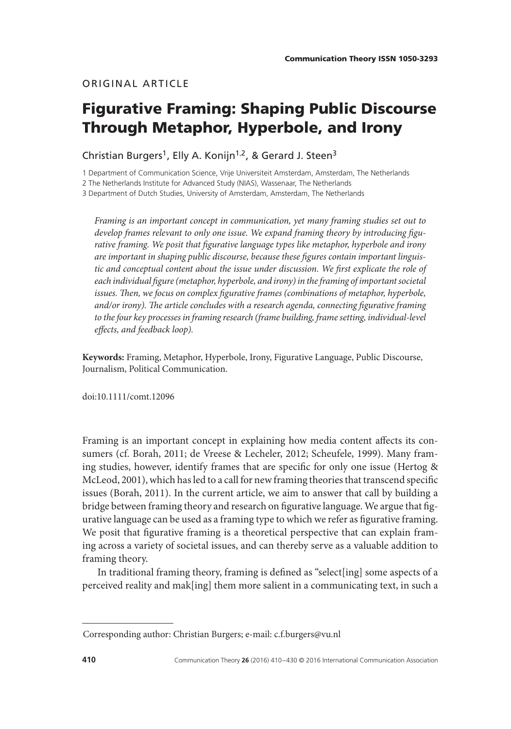# ORIGINAL ARTICLE

# **Figurative Framing: Shaping Public Discourse Through Metaphor, Hyperbole, and Irony**

Christian Burgers<sup>1</sup>, Elly A. Konijn<sup>1,2</sup>, & Gerard J. Steen<sup>3</sup>

1 Department of Communication Science, Vrije Universiteit Amsterdam, Amsterdam, The Netherlands

2 The Netherlands Institute for Advanced Study (NIAS), Wassenaar, The Netherlands

3 Department of Dutch Studies, University of Amsterdam, Amsterdam, The Netherlands

*Framing is an important concept in communication, yet many framing studies set out to develop frames relevant to only one issue. We expand framing theory by introducing figurative framing. We posit that figurative language types like metaphor, hyperbole and irony are important in shaping public discourse, because these figures contain important linguistic and conceptual content about the issue under discussion. We first explicate the role of each individual figure (metaphor, hyperbole, and irony) in the framing of important societal issues. Then, we focus on complex figurative frames (combinations of metaphor, hyperbole, and/or irony). The article concludes with a research agenda, connecting figurative framing to the four key processes in framing research (frame building, frame setting, individual-level effects, and feedback loop).*

**Keywords:** Framing, Metaphor, Hyperbole, Irony, Figurative Language, Public Discourse, Journalism, Political Communication.

doi:10.1111/comt.12096

Framing is an important concept in explaining how media content affects its consumers (cf. Borah, 2011; de Vreese & Lecheler, 2012; Scheufele, 1999). Many framing studies, however, identify frames that are specific for only one issue (Hertog & McLeod, 2001), which has led to a call for new framing theories that transcend specific issues (Borah, 2011). In the current article, we aim to answer that call by building a bridge between framing theory and research on figurative language. We argue that figurative language can be used as a framing type to which we refer as figurative framing. We posit that figurative framing is a theoretical perspective that can explain framing across a variety of societal issues, and can thereby serve as a valuable addition to framing theory.

In traditional framing theory, framing is defined as "select[ing] some aspects of a perceived reality and mak[ing] them more salient in a communicating text, in such a

Corresponding author: Christian Burgers; e-mail: c.f.burgers@vu.nl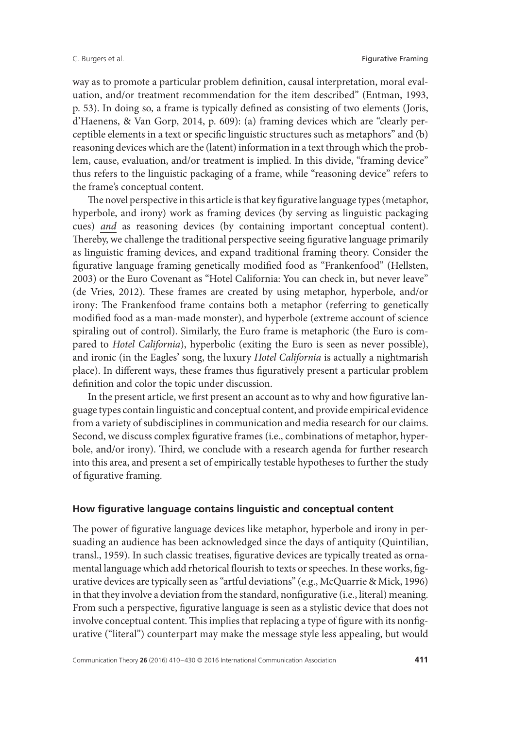way as to promote a particular problem definition, causal interpretation, moral evaluation, and/or treatment recommendation for the item described" (Entman, 1993, p. 53). In doing so, a frame is typically defined as consisting of two elements (Joris, d'Haenens, & Van Gorp, 2014, p. 609): (a) framing devices which are "clearly perceptible elements in a text or specific linguistic structures such as metaphors" and (b) reasoning devices which are the (latent) information in a text through which the problem, cause, evaluation, and/or treatment is implied. In this divide, "framing device" thus refers to the linguistic packaging of a frame, while "reasoning device" refers to the frame's conceptual content.

The novel perspective in this article is that key figurative language types (metaphor, hyperbole, and irony) work as framing devices (by serving as linguistic packaging cues) *and* as reasoning devices (by containing important conceptual content). Thereby, we challenge the traditional perspective seeing figurative language primarily as linguistic framing devices, and expand traditional framing theory. Consider the figurative language framing genetically modified food as "Frankenfood" (Hellsten, 2003) or the Euro Covenant as "Hotel California: You can check in, but never leave" (de Vries, 2012). These frames are created by using metaphor, hyperbole, and/or irony: The Frankenfood frame contains both a metaphor (referring to genetically modified food as a man-made monster), and hyperbole (extreme account of science spiraling out of control). Similarly, the Euro frame is metaphoric (the Euro is compared to *Hotel California*), hyperbolic (exiting the Euro is seen as never possible), and ironic (in the Eagles' song, the luxury *Hotel California* is actually a nightmarish place). In different ways, these frames thus figuratively present a particular problem definition and color the topic under discussion.

In the present article, we first present an account as to why and how figurative language types contain linguistic and conceptual content, and provide empirical evidence from a variety of subdisciplines in communication and media research for our claims. Second, we discuss complex figurative frames (i.e., combinations of metaphor, hyperbole, and/or irony). Third, we conclude with a research agenda for further research into this area, and present a set of empirically testable hypotheses to further the study of figurative framing.

# **How figurative language contains linguistic and conceptual content**

The power of figurative language devices like metaphor, hyperbole and irony in persuading an audience has been acknowledged since the days of antiquity (Quintilian, transl., 1959). In such classic treatises, figurative devices are typically treated as ornamental language which add rhetorical flourish to texts or speeches. In these works, figurative devices are typically seen as "artful deviations" (e.g., McQuarrie & Mick, 1996) in that they involve a deviation from the standard, nonfigurative (i.e., literal) meaning. From such a perspective, figurative language is seen as a stylistic device that does not involve conceptual content. This implies that replacing a type of figure with its nonfigurative ("literal") counterpart may make the message style less appealing, but would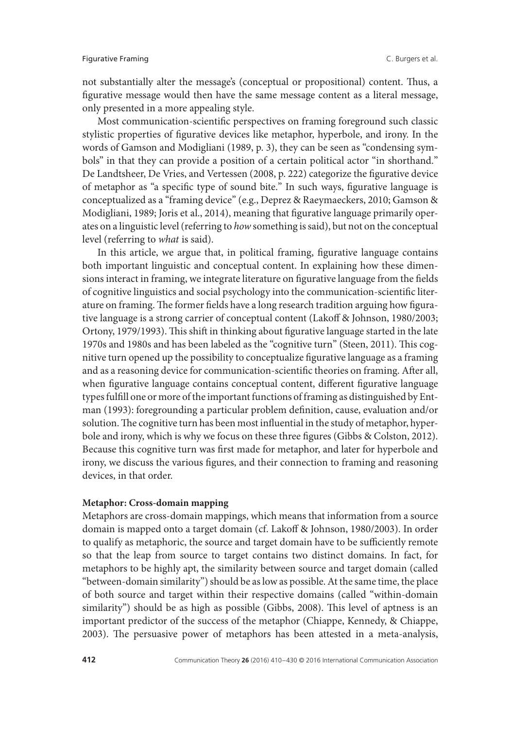not substantially alter the message's (conceptual or propositional) content. Thus, a figurative message would then have the same message content as a literal message, only presented in a more appealing style.

Most communication-scientific perspectives on framing foreground such classic stylistic properties of figurative devices like metaphor, hyperbole, and irony. In the words of Gamson and Modigliani (1989, p. 3), they can be seen as "condensing symbols" in that they can provide a position of a certain political actor "in shorthand." De Landtsheer, De Vries, and Vertessen (2008, p. 222) categorize the figurative device of metaphor as "a specific type of sound bite." In such ways, figurative language is conceptualized as a "framing device" (e.g., Deprez & Raeymaeckers, 2010; Gamson & Modigliani, 1989; Joris et al., 2014), meaning that figurative language primarily operates on a linguistic level (referring to *how*something is said), but not on the conceptual level (referring to *what* is said).

In this article, we argue that, in political framing, figurative language contains both important linguistic and conceptual content. In explaining how these dimensions interact in framing, we integrate literature on figurative language from the fields of cognitive linguistics and social psychology into the communication-scientific literature on framing. The former fields have a long research tradition arguing how figurative language is a strong carrier of conceptual content (Lakoff & Johnson, 1980/2003; Ortony, 1979/1993). This shift in thinking about figurative language started in the late 1970s and 1980s and has been labeled as the "cognitive turn" (Steen, 2011). This cognitive turn opened up the possibility to conceptualize figurative language as a framing and as a reasoning device for communication-scientific theories on framing. After all, when figurative language contains conceptual content, different figurative language types fulfill one or more of the important functions of framing as distinguished by Entman (1993): foregrounding a particular problem definition, cause, evaluation and/or solution.The cognitive turn has been most influential in the study of metaphor, hyperbole and irony, which is why we focus on these three figures (Gibbs & Colston, 2012). Because this cognitive turn was first made for metaphor, and later for hyperbole and irony, we discuss the various figures, and their connection to framing and reasoning devices, in that order.

### **Metaphor: Cross-domain mapping**

Metaphors are cross-domain mappings, which means that information from a source domain is mapped onto a target domain (cf. Lakoff & Johnson, 1980/2003). In order to qualify as metaphoric, the source and target domain have to be sufficiently remote so that the leap from source to target contains two distinct domains. In fact, for metaphors to be highly apt, the similarity between source and target domain (called "between-domain similarity") should be as low as possible. At the same time, the place of both source and target within their respective domains (called "within-domain similarity") should be as high as possible (Gibbs, 2008). This level of aptness is an important predictor of the success of the metaphor (Chiappe, Kennedy, & Chiappe, 2003). The persuasive power of metaphors has been attested in a meta-analysis,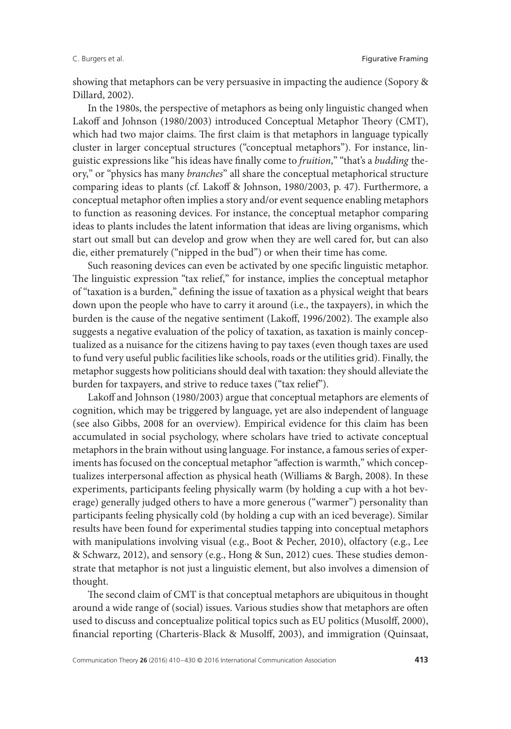showing that metaphors can be very persuasive in impacting the audience (Sopory & Dillard, 2002).

In the 1980s, the perspective of metaphors as being only linguistic changed when Lakoff and Johnson (1980/2003) introduced Conceptual Metaphor Theory (CMT), which had two major claims. The first claim is that metaphors in language typically cluster in larger conceptual structures ("conceptual metaphors"). For instance, linguistic expressions like "his ideas have finally come to *fruition*," "that's a *budding* theory," or "physics has many *branches*" all share the conceptual metaphorical structure comparing ideas to plants (cf. Lakoff & Johnson, 1980/2003, p. 47). Furthermore, a conceptual metaphor often implies a story and/or event sequence enabling metaphors to function as reasoning devices. For instance, the conceptual metaphor comparing ideas to plants includes the latent information that ideas are living organisms, which start out small but can develop and grow when they are well cared for, but can also die, either prematurely ("nipped in the bud") or when their time has come.

Such reasoning devices can even be activated by one specific linguistic metaphor. The linguistic expression "tax relief," for instance, implies the conceptual metaphor of "taxation is a burden," defining the issue of taxation as a physical weight that bears down upon the people who have to carry it around (i.e., the taxpayers), in which the burden is the cause of the negative sentiment (Lakoff, 1996/2002). The example also suggests a negative evaluation of the policy of taxation, as taxation is mainly conceptualized as a nuisance for the citizens having to pay taxes (even though taxes are used to fund very useful public facilities like schools, roads or the utilities grid). Finally, the metaphor suggests how politicians should deal with taxation: they should alleviate the burden for taxpayers, and strive to reduce taxes ("tax relief").

Lakoff and Johnson (1980/2003) argue that conceptual metaphors are elements of cognition, which may be triggered by language, yet are also independent of language (see also Gibbs, 2008 for an overview). Empirical evidence for this claim has been accumulated in social psychology, where scholars have tried to activate conceptual metaphors in the brain without using language. For instance, a famous series of experiments has focused on the conceptual metaphor "affection is warmth," which conceptualizes interpersonal affection as physical heath (Williams & Bargh, 2008). In these experiments, participants feeling physically warm (by holding a cup with a hot beverage) generally judged others to have a more generous ("warmer") personality than participants feeling physically cold (by holding a cup with an iced beverage). Similar results have been found for experimental studies tapping into conceptual metaphors with manipulations involving visual (e.g., Boot & Pecher, 2010), olfactory (e.g., Lee & Schwarz, 2012), and sensory (e.g., Hong & Sun, 2012) cues. These studies demonstrate that metaphor is not just a linguistic element, but also involves a dimension of thought.

The second claim of CMT is that conceptual metaphors are ubiquitous in thought around a wide range of (social) issues. Various studies show that metaphors are often used to discuss and conceptualize political topics such as EU politics (Musolff, 2000), financial reporting (Charteris-Black & Musolff, 2003), and immigration (Quinsaat,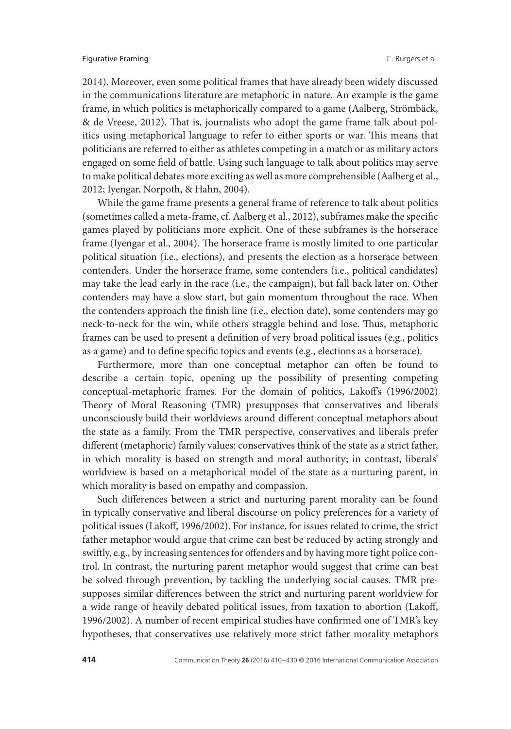2014). Moreover, even some political frames that have already been widely discussed in the communications literature are metaphoric in nature. An example is the game frame, in which politics is metaphorically compared to a game (Aalberg, Strömbäck, & de Vreese, 2012). That is, journalists who adopt the game frame talk about politics using metaphorical language to refer to either sports or war. This means that politicians are referred to either as athletes competing in a match or as military actors engaged on some field of battle. Using such language to talk about politics may serve to make political debates more exciting as well as more comprehensible (Aalberg et al., 2012; Iyengar, Norpoth, & Hahn, 2004).

While the game frame presents a general frame of reference to talk about politics (sometimes called a meta-frame, cf. Aalberg et al., 2012), subframes make the specific games played by politicians more explicit. One of these subframes is the horserace frame (Iyengar et al., 2004). The horserace frame is mostly limited to one particular political situation (i.e., elections), and presents the election as a horserace between contenders. Under the horserace frame, some contenders (i.e., political candidates) may take the lead early in the race (i.e., the campaign), but fall back later on. Other contenders may have a slow start, but gain momentum throughout the race. When the contenders approach the finish line (i.e., election date), some contenders may go neck-to-neck for the win, while others straggle behind and lose. Thus, metaphoric frames can be used to present a definition of very broad political issues (e.g., politics as a game) and to define specific topics and events (e.g., elections as a horserace).

Furthermore, more than one conceptual metaphor can often be found to describe a certain topic, opening up the possibility of presenting competing conceptual-metaphoric frames. For the domain of politics, Lakoff's (1996/2002) Theory of Moral Reasoning (TMR) presupposes that conservatives and liberals unconsciously build their worldviews around different conceptual metaphors about the state as a family. From the TMR perspective, conservatives and liberals prefer different (metaphoric) family values: conservatives think of the state as a strict father, in which morality is based on strength and moral authority; in contrast, liberals' worldview is based on a metaphorical model of the state as a nurturing parent, in which morality is based on empathy and compassion.

Such differences between a strict and nurturing parent morality can be found in typically conservative and liberal discourse on policy preferences for a variety of political issues (Lakoff, 1996/2002). For instance, for issues related to crime, the strict father metaphor would argue that crime can best be reduced by acting strongly and swiftly, e.g., by increasing sentences for offenders and by having more tight police control. In contrast, the nurturing parent metaphor would suggest that crime can best be solved through prevention, by tackling the underlying social causes. TMR presupposes similar differences between the strict and nurturing parent worldview for a wide range of heavily debated political issues, from taxation to abortion (Lakoff, 1996/2002). A number of recent empirical studies have confirmed one of TMR's key hypotheses, that conservatives use relatively more strict father morality metaphors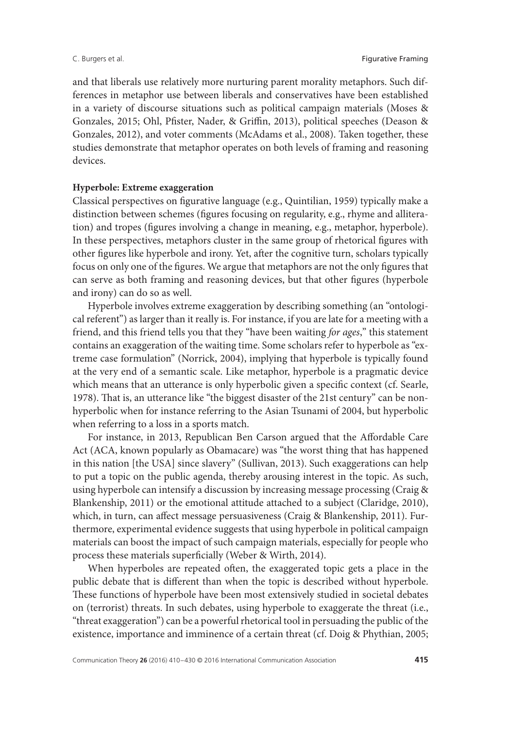and that liberals use relatively more nurturing parent morality metaphors. Such differences in metaphor use between liberals and conservatives have been established in a variety of discourse situations such as political campaign materials (Moses & Gonzales, 2015; Ohl, Pfister, Nader, & Griffin, 2013), political speeches (Deason & Gonzales, 2012), and voter comments (McAdams et al., 2008). Taken together, these studies demonstrate that metaphor operates on both levels of framing and reasoning devices.

# **Hyperbole: Extreme exaggeration**

Classical perspectives on figurative language (e.g., Quintilian, 1959) typically make a distinction between schemes (figures focusing on regularity, e.g., rhyme and alliteration) and tropes (figures involving a change in meaning, e.g., metaphor, hyperbole). In these perspectives, metaphors cluster in the same group of rhetorical figures with other figures like hyperbole and irony. Yet, after the cognitive turn, scholars typically focus on only one of the figures. We argue that metaphors are not the only figures that can serve as both framing and reasoning devices, but that other figures (hyperbole and irony) can do so as well.

Hyperbole involves extreme exaggeration by describing something (an "ontological referent") as larger than it really is. For instance, if you are late for a meeting with a friend, and this friend tells you that they "have been waiting *for ages*," this statement contains an exaggeration of the waiting time. Some scholars refer to hyperbole as "extreme case formulation" (Norrick, 2004), implying that hyperbole is typically found at the very end of a semantic scale. Like metaphor, hyperbole is a pragmatic device which means that an utterance is only hyperbolic given a specific context (cf. Searle, 1978). That is, an utterance like "the biggest disaster of the 21st century" can be nonhyperbolic when for instance referring to the Asian Tsunami of 2004, but hyperbolic when referring to a loss in a sports match.

For instance, in 2013, Republican Ben Carson argued that the Affordable Care Act (ACA, known popularly as Obamacare) was "the worst thing that has happened in this nation [the USA] since slavery" (Sullivan, 2013). Such exaggerations can help to put a topic on the public agenda, thereby arousing interest in the topic. As such, using hyperbole can intensify a discussion by increasing message processing (Craig & Blankenship, 2011) or the emotional attitude attached to a subject (Claridge, 2010), which, in turn, can affect message persuasiveness (Craig & Blankenship, 2011). Furthermore, experimental evidence suggests that using hyperbole in political campaign materials can boost the impact of such campaign materials, especially for people who process these materials superficially (Weber & Wirth, 2014).

When hyperboles are repeated often, the exaggerated topic gets a place in the public debate that is different than when the topic is described without hyperbole. These functions of hyperbole have been most extensively studied in societal debates on (terrorist) threats. In such debates, using hyperbole to exaggerate the threat (i.e., "threat exaggeration") can be a powerful rhetorical tool in persuading the public of the existence, importance and imminence of a certain threat (cf. Doig & Phythian, 2005;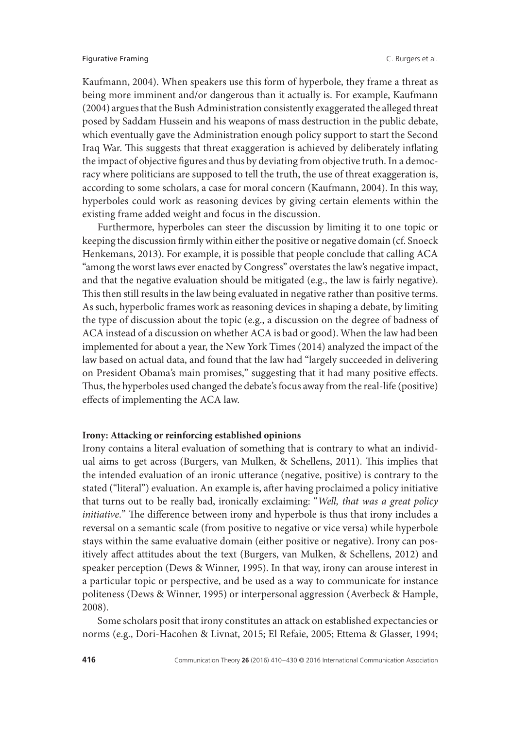Kaufmann, 2004). When speakers use this form of hyperbole, they frame a threat as being more imminent and/or dangerous than it actually is. For example, Kaufmann (2004) argues that the Bush Administration consistently exaggerated the alleged threat posed by Saddam Hussein and his weapons of mass destruction in the public debate, which eventually gave the Administration enough policy support to start the Second Iraq War. This suggests that threat exaggeration is achieved by deliberately inflating the impact of objective figures and thus by deviating from objective truth. In a democracy where politicians are supposed to tell the truth, the use of threat exaggeration is, according to some scholars, a case for moral concern (Kaufmann, 2004). In this way, hyperboles could work as reasoning devices by giving certain elements within the existing frame added weight and focus in the discussion.

Furthermore, hyperboles can steer the discussion by limiting it to one topic or keeping the discussion firmly within either the positive or negative domain (cf. Snoeck Henkemans, 2013). For example, it is possible that people conclude that calling ACA "among the worst laws ever enacted by Congress" overstates the law's negative impact, and that the negative evaluation should be mitigated (e.g., the law is fairly negative). This then still results in the law being evaluated in negative rather than positive terms. As such, hyperbolic frames work as reasoning devices in shaping a debate, by limiting the type of discussion about the topic (e.g., a discussion on the degree of badness of ACA instead of a discussion on whether ACA is bad or good). When the law had been implemented for about a year, the New York Times (2014) analyzed the impact of the law based on actual data, and found that the law had "largely succeeded in delivering on President Obama's main promises," suggesting that it had many positive effects. Thus, the hyperboles used changed the debate's focus away from the real-life (positive) effects of implementing the ACA law.

#### **Irony: Attacking or reinforcing established opinions**

Irony contains a literal evaluation of something that is contrary to what an individual aims to get across (Burgers, van Mulken, & Schellens, 2011). This implies that the intended evaluation of an ironic utterance (negative, positive) is contrary to the stated ("literal") evaluation. An example is, after having proclaimed a policy initiative that turns out to be really bad, ironically exclaiming: "*Well, that was a great policy initiative*." The difference between irony and hyperbole is thus that irony includes a reversal on a semantic scale (from positive to negative or vice versa) while hyperbole stays within the same evaluative domain (either positive or negative). Irony can positively affect attitudes about the text (Burgers, van Mulken, & Schellens, 2012) and speaker perception (Dews & Winner, 1995). In that way, irony can arouse interest in a particular topic or perspective, and be used as a way to communicate for instance politeness (Dews & Winner, 1995) or interpersonal aggression (Averbeck & Hample, 2008).

Some scholars posit that irony constitutes an attack on established expectancies or norms (e.g., Dori-Hacohen & Livnat, 2015; El Refaie, 2005; Ettema & Glasser, 1994;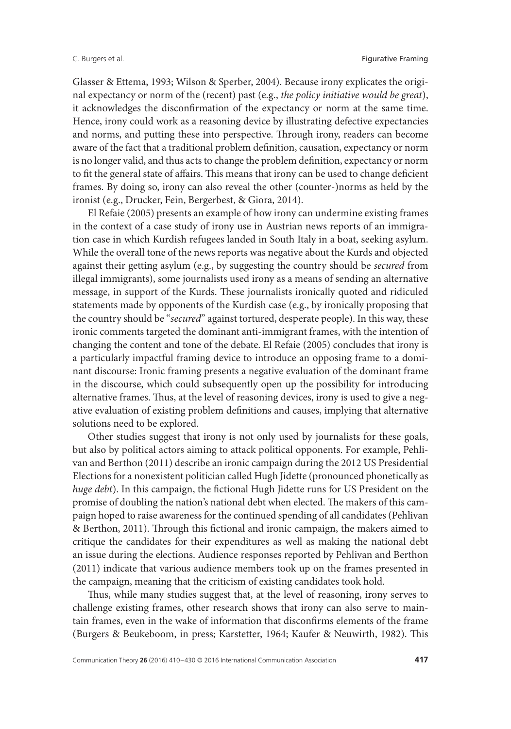Glasser & Ettema, 1993; Wilson & Sperber, 2004). Because irony explicates the original expectancy or norm of the (recent) past (e.g., *the policy initiative would be great*), it acknowledges the disconfirmation of the expectancy or norm at the same time. Hence, irony could work as a reasoning device by illustrating defective expectancies and norms, and putting these into perspective. Through irony, readers can become aware of the fact that a traditional problem definition, causation, expectancy or norm is no longer valid, and thus acts to change the problem definition, expectancy or norm to fit the general state of affairs. This means that irony can be used to change deficient frames. By doing so, irony can also reveal the other (counter-)norms as held by the ironist (e.g., Drucker, Fein, Bergerbest, & Giora, 2014).

El Refaie (2005) presents an example of how irony can undermine existing frames in the context of a case study of irony use in Austrian news reports of an immigration case in which Kurdish refugees landed in South Italy in a boat, seeking asylum. While the overall tone of the news reports was negative about the Kurds and objected against their getting asylum (e.g., by suggesting the country should be *secured* from illegal immigrants), some journalists used irony as a means of sending an alternative message, in support of the Kurds. These journalists ironically quoted and ridiculed statements made by opponents of the Kurdish case (e.g., by ironically proposing that the country should be "*secured*" against tortured, desperate people). In this way, these ironic comments targeted the dominant anti-immigrant frames, with the intention of changing the content and tone of the debate. El Refaie (2005) concludes that irony is a particularly impactful framing device to introduce an opposing frame to a dominant discourse: Ironic framing presents a negative evaluation of the dominant frame in the discourse, which could subsequently open up the possibility for introducing alternative frames. Thus, at the level of reasoning devices, irony is used to give a negative evaluation of existing problem definitions and causes, implying that alternative solutions need to be explored.

Other studies suggest that irony is not only used by journalists for these goals, but also by political actors aiming to attack political opponents. For example, Pehlivan and Berthon (2011) describe an ironic campaign during the 2012 US Presidential Elections for a nonexistent politician called Hugh Jidette (pronounced phonetically as *huge debt*). In this campaign, the fictional Hugh Jidette runs for US President on the promise of doubling the nation's national debt when elected. The makers of this campaign hoped to raise awareness for the continued spending of all candidates (Pehlivan & Berthon, 2011). Through this fictional and ironic campaign, the makers aimed to critique the candidates for their expenditures as well as making the national debt an issue during the elections. Audience responses reported by Pehlivan and Berthon (2011) indicate that various audience members took up on the frames presented in the campaign, meaning that the criticism of existing candidates took hold.

Thus, while many studies suggest that, at the level of reasoning, irony serves to challenge existing frames, other research shows that irony can also serve to maintain frames, even in the wake of information that disconfirms elements of the frame (Burgers & Beukeboom, in press; Karstetter, 1964; Kaufer & Neuwirth, 1982). This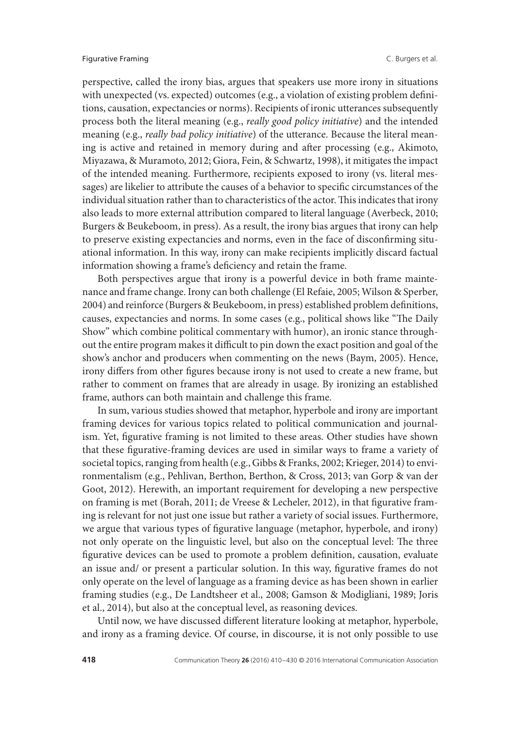perspective, called the irony bias, argues that speakers use more irony in situations with unexpected (vs. expected) outcomes (e.g., a violation of existing problem definitions, causation, expectancies or norms). Recipients of ironic utterances subsequently process both the literal meaning (e.g., *really good policy initiative*) and the intended meaning (e.g., *really bad policy initiative*) of the utterance. Because the literal meaning is active and retained in memory during and after processing (e.g., Akimoto, Miyazawa, & Muramoto, 2012; Giora, Fein, & Schwartz, 1998), it mitigates the impact of the intended meaning. Furthermore, recipients exposed to irony (vs. literal messages) are likelier to attribute the causes of a behavior to specific circumstances of the individual situation rather than to characteristics of the actor.This indicates that irony also leads to more external attribution compared to literal language (Averbeck, 2010; Burgers & Beukeboom, in press). As a result, the irony bias argues that irony can help to preserve existing expectancies and norms, even in the face of disconfirming situational information. In this way, irony can make recipients implicitly discard factual information showing a frame's deficiency and retain the frame.

Both perspectives argue that irony is a powerful device in both frame maintenance and frame change. Irony can both challenge (El Refaie, 2005; Wilson & Sperber, 2004) and reinforce (Burgers & Beukeboom, in press) established problem definitions, causes, expectancies and norms. In some cases (e.g., political shows like "The Daily Show" which combine political commentary with humor), an ironic stance throughout the entire program makes it difficult to pin down the exact position and goal of the show's anchor and producers when commenting on the news (Baym, 2005). Hence, irony differs from other figures because irony is not used to create a new frame, but rather to comment on frames that are already in usage. By ironizing an established frame, authors can both maintain and challenge this frame.

In sum, various studies showed that metaphor, hyperbole and irony are important framing devices for various topics related to political communication and journalism. Yet, figurative framing is not limited to these areas. Other studies have shown that these figurative-framing devices are used in similar ways to frame a variety of societal topics, ranging from health (e.g., Gibbs & Franks, 2002; Krieger, 2014) to environmentalism (e.g., Pehlivan, Berthon, Berthon, & Cross, 2013; van Gorp & van der Goot, 2012). Herewith, an important requirement for developing a new perspective on framing is met (Borah, 2011; de Vreese & Lecheler, 2012), in that figurative framing is relevant for not just one issue but rather a variety of social issues. Furthermore, we argue that various types of figurative language (metaphor, hyperbole, and irony) not only operate on the linguistic level, but also on the conceptual level: The three figurative devices can be used to promote a problem definition, causation, evaluate an issue and/ or present a particular solution. In this way, figurative frames do not only operate on the level of language as a framing device as has been shown in earlier framing studies (e.g., De Landtsheer et al., 2008; Gamson & Modigliani, 1989; Joris et al., 2014), but also at the conceptual level, as reasoning devices.

Until now, we have discussed different literature looking at metaphor, hyperbole, and irony as a framing device. Of course, in discourse, it is not only possible to use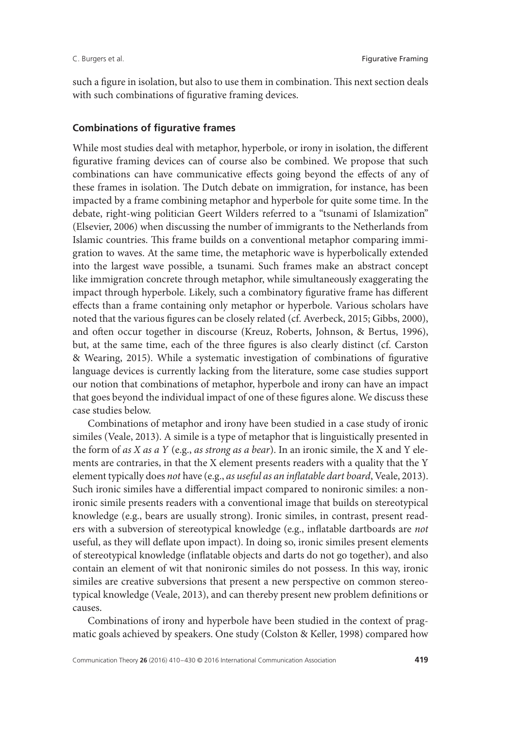such a figure in isolation, but also to use them in combination. This next section deals with such combinations of figurative framing devices.

# **Combinations of figurative frames**

While most studies deal with metaphor, hyperbole, or irony in isolation, the different figurative framing devices can of course also be combined. We propose that such combinations can have communicative effects going beyond the effects of any of these frames in isolation. The Dutch debate on immigration, for instance, has been impacted by a frame combining metaphor and hyperbole for quite some time. In the debate, right-wing politician Geert Wilders referred to a "tsunami of Islamization" (Elsevier, 2006) when discussing the number of immigrants to the Netherlands from Islamic countries. This frame builds on a conventional metaphor comparing immigration to waves. At the same time, the metaphoric wave is hyperbolically extended into the largest wave possible, a tsunami. Such frames make an abstract concept like immigration concrete through metaphor, while simultaneously exaggerating the impact through hyperbole. Likely, such a combinatory figurative frame has different effects than a frame containing only metaphor or hyperbole. Various scholars have noted that the various figures can be closely related (cf. Averbeck, 2015; Gibbs, 2000), and often occur together in discourse (Kreuz, Roberts, Johnson, & Bertus, 1996), but, at the same time, each of the three figures is also clearly distinct (cf. Carston & Wearing, 2015). While a systematic investigation of combinations of figurative language devices is currently lacking from the literature, some case studies support our notion that combinations of metaphor, hyperbole and irony can have an impact that goes beyond the individual impact of one of these figures alone. We discuss these case studies below.

Combinations of metaphor and irony have been studied in a case study of ironic similes (Veale, 2013). A simile is a type of metaphor that is linguistically presented in the form of *as X as a Y* (e.g., *as strong as a bear*). In an ironic simile, the X and Y elements are contraries, in that the X element presents readers with a quality that the Y element typically does *not* have (e.g., *as useful as an inflatable dart board*, Veale, 2013). Such ironic similes have a differential impact compared to nonironic similes: a nonironic simile presents readers with a conventional image that builds on stereotypical knowledge (e.g., bears are usually strong). Ironic similes, in contrast, present readers with a subversion of stereotypical knowledge (e.g., inflatable dartboards are *not* useful, as they will deflate upon impact). In doing so, ironic similes present elements of stereotypical knowledge (inflatable objects and darts do not go together), and also contain an element of wit that nonironic similes do not possess. In this way, ironic similes are creative subversions that present a new perspective on common stereotypical knowledge (Veale, 2013), and can thereby present new problem definitions or causes.

Combinations of irony and hyperbole have been studied in the context of pragmatic goals achieved by speakers. One study (Colston & Keller, 1998) compared how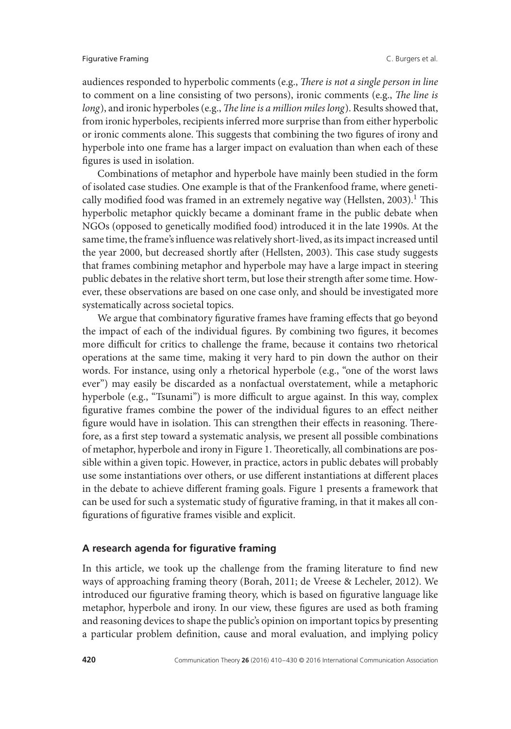audiences responded to hyperbolic comments (e.g., *There is not a single person in line* to comment on a line consisting of two persons), ironic comments (e.g., *The line is long*), and ironic hyperboles (e.g., *The line is a million miles long*). Results showed that, from ironic hyperboles, recipients inferred more surprise than from either hyperbolic or ironic comments alone. This suggests that combining the two figures of irony and hyperbole into one frame has a larger impact on evaluation than when each of these figures is used in isolation.

Combinations of metaphor and hyperbole have mainly been studied in the form of isolated case studies. One example is that of the Frankenfood frame, where genetically modified food was framed in an extremely negative way (Hellsten, 2003).<sup>1</sup> This hyperbolic metaphor quickly became a dominant frame in the public debate when NGOs (opposed to genetically modified food) introduced it in the late 1990s. At the same time, the frame's influence was relatively short-lived, as its impact increased until the year 2000, but decreased shortly after (Hellsten, 2003). This case study suggests that frames combining metaphor and hyperbole may have a large impact in steering public debates in the relative short term, but lose their strength after some time. However, these observations are based on one case only, and should be investigated more systematically across societal topics.

We argue that combinatory figurative frames have framing effects that go beyond the impact of each of the individual figures. By combining two figures, it becomes more difficult for critics to challenge the frame, because it contains two rhetorical operations at the same time, making it very hard to pin down the author on their words. For instance, using only a rhetorical hyperbole (e.g., "one of the worst laws ever") may easily be discarded as a nonfactual overstatement, while a metaphoric hyperbole (e.g., "Tsunami") is more difficult to argue against. In this way, complex figurative frames combine the power of the individual figures to an effect neither figure would have in isolation. This can strengthen their effects in reasoning. Therefore, as a first step toward a systematic analysis, we present all possible combinations of metaphor, hyperbole and irony in Figure 1. Theoretically, all combinations are possible within a given topic. However, in practice, actors in public debates will probably use some instantiations over others, or use different instantiations at different places in the debate to achieve different framing goals. Figure 1 presents a framework that can be used for such a systematic study of figurative framing, in that it makes all configurations of figurative frames visible and explicit.

### **A research agenda for figurative framing**

In this article, we took up the challenge from the framing literature to find new ways of approaching framing theory (Borah, 2011; de Vreese & Lecheler, 2012). We introduced our figurative framing theory, which is based on figurative language like metaphor, hyperbole and irony. In our view, these figures are used as both framing and reasoning devices to shape the public's opinion on important topics by presenting a particular problem definition, cause and moral evaluation, and implying policy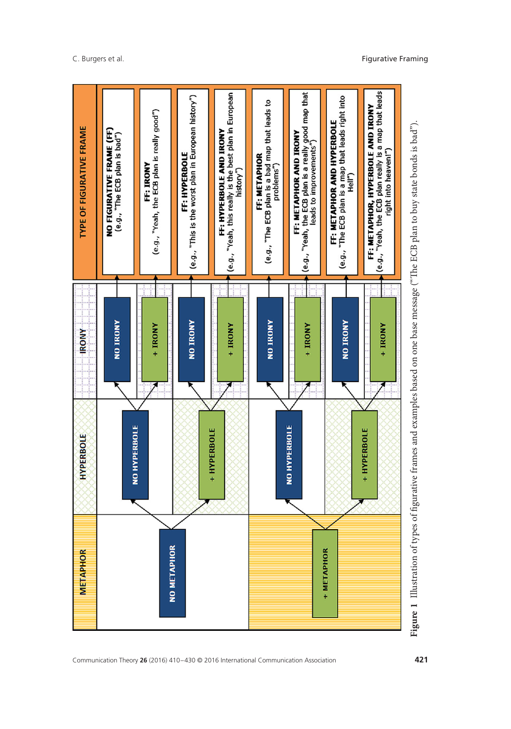

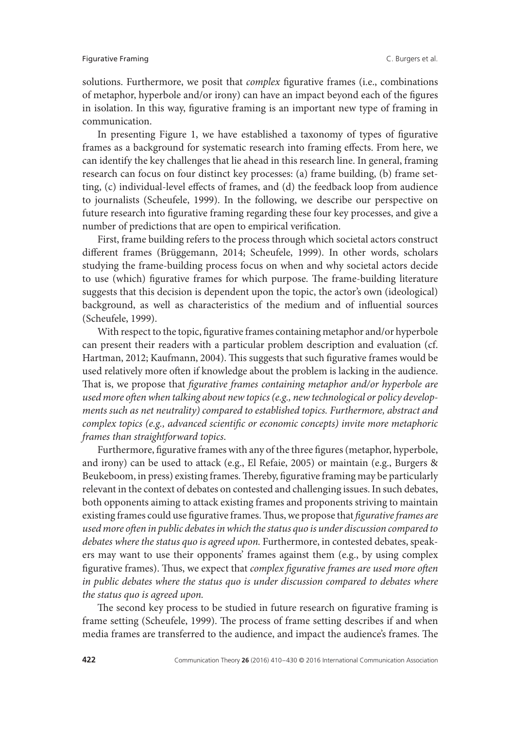#### Figurative Framing **Figuration** C. Burgers et al.

solutions. Furthermore, we posit that *complex* figurative frames (i.e., combinations of metaphor, hyperbole and/or irony) can have an impact beyond each of the figures in isolation. In this way, figurative framing is an important new type of framing in communication.

In presenting Figure 1, we have established a taxonomy of types of figurative frames as a background for systematic research into framing effects. From here, we can identify the key challenges that lie ahead in this research line. In general, framing research can focus on four distinct key processes: (a) frame building, (b) frame setting, (c) individual-level effects of frames, and (d) the feedback loop from audience to journalists (Scheufele, 1999). In the following, we describe our perspective on future research into figurative framing regarding these four key processes, and give a number of predictions that are open to empirical verification.

First, frame building refers to the process through which societal actors construct different frames (Brüggemann, 2014; Scheufele, 1999). In other words, scholars studying the frame-building process focus on when and why societal actors decide to use (which) figurative frames for which purpose. The frame-building literature suggests that this decision is dependent upon the topic, the actor's own (ideological) background, as well as characteristics of the medium and of influential sources (Scheufele, 1999).

With respect to the topic, figurative frames containing metaphor and/or hyperbole can present their readers with a particular problem description and evaluation (cf. Hartman, 2012; Kaufmann, 2004). This suggests that such figurative frames would be used relatively more often if knowledge about the problem is lacking in the audience. That is, we propose that *figurative frames containing metaphor and/or hyperbole are used more often when talking about new topics (e.g., new technological or policy developments such as net neutrality) compared to established topics. Furthermore, abstract and complex topics (e.g., advanced scientific or economic concepts) invite more metaphoric frames than straightforward topics*.

Furthermore, figurative frames with any of the three figures (metaphor, hyperbole, and irony) can be used to attack (e.g., El Refaie, 2005) or maintain (e.g., Burgers & Beukeboom, in press) existing frames.Thereby, figurative framing may be particularly relevant in the context of debates on contested and challenging issues. In such debates, both opponents aiming to attack existing frames and proponents striving to maintain existing frames could use figurative frames.Thus, we propose that *figurative frames are used more often in public debates in which the status quo is under discussion compared to debates where the status quo is agreed upon.* Furthermore, in contested debates, speakers may want to use their opponents' frames against them (e.g., by using complex figurative frames). Thus, we expect that *complex figurative frames are used more often in public debates where the status quo is under discussion compared to debates where the status quo is agreed upon.*

The second key process to be studied in future research on figurative framing is frame setting (Scheufele, 1999). The process of frame setting describes if and when media frames are transferred to the audience, and impact the audience's frames. The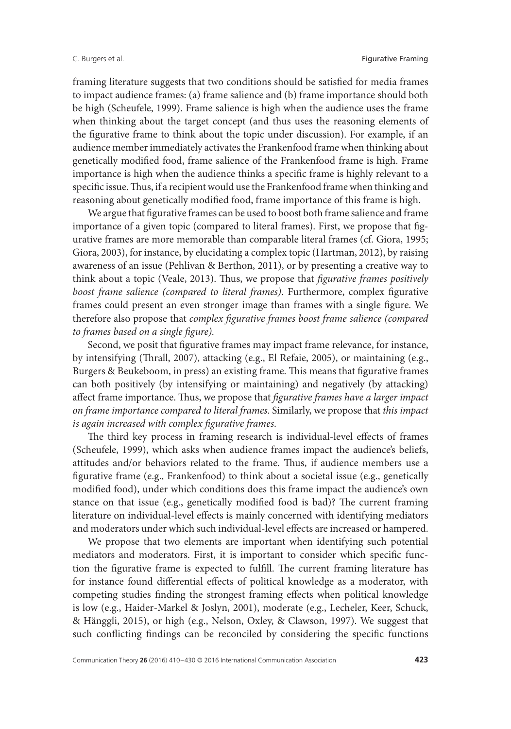framing literature suggests that two conditions should be satisfied for media frames to impact audience frames: (a) frame salience and (b) frame importance should both be high (Scheufele, 1999). Frame salience is high when the audience uses the frame when thinking about the target concept (and thus uses the reasoning elements of the figurative frame to think about the topic under discussion). For example, if an audience member immediately activates the Frankenfood frame when thinking about genetically modified food, frame salience of the Frankenfood frame is high. Frame importance is high when the audience thinks a specific frame is highly relevant to a specific issue.Thus, if a recipient would use the Frankenfood frame when thinking and reasoning about genetically modified food, frame importance of this frame is high.

We argue that figurative frames can be used to boost both frame salience and frame importance of a given topic (compared to literal frames). First, we propose that figurative frames are more memorable than comparable literal frames (cf. Giora, 1995; Giora, 2003), for instance, by elucidating a complex topic (Hartman, 2012), by raising awareness of an issue (Pehlivan & Berthon, 2011), or by presenting a creative way to think about a topic (Veale, 2013). Thus, we propose that *figurative frames positively boost frame salience (compared to literal frames)*. Furthermore, complex figurative frames could present an even stronger image than frames with a single figure. We therefore also propose that *complex figurative frames boost frame salience (compared to frames based on a single figure).*

Second, we posit that figurative frames may impact frame relevance, for instance, by intensifying (Thrall, 2007), attacking (e.g., El Refaie, 2005), or maintaining (e.g., Burgers & Beukeboom, in press) an existing frame. This means that figurative frames can both positively (by intensifying or maintaining) and negatively (by attacking) affect frame importance. Thus, we propose that *figurative frames have a larger impact on frame importance compared to literal frames*. Similarly, we propose that *this impact is again increased with complex figurative frames*.

The third key process in framing research is individual-level effects of frames (Scheufele, 1999), which asks when audience frames impact the audience's beliefs, attitudes and/or behaviors related to the frame. Thus, if audience members use a figurative frame (e.g., Frankenfood) to think about a societal issue (e.g., genetically modified food), under which conditions does this frame impact the audience's own stance on that issue (e.g., genetically modified food is bad)? The current framing literature on individual-level effects is mainly concerned with identifying mediators and moderators under which such individual-level effects are increased or hampered.

We propose that two elements are important when identifying such potential mediators and moderators. First, it is important to consider which specific function the figurative frame is expected to fulfill. The current framing literature has for instance found differential effects of political knowledge as a moderator, with competing studies finding the strongest framing effects when political knowledge is low (e.g., Haider-Markel & Joslyn, 2001), moderate (e.g., Lecheler, Keer, Schuck, & Hänggli, 2015), or high (e.g., Nelson, Oxley, & Clawson, 1997). We suggest that such conflicting findings can be reconciled by considering the specific functions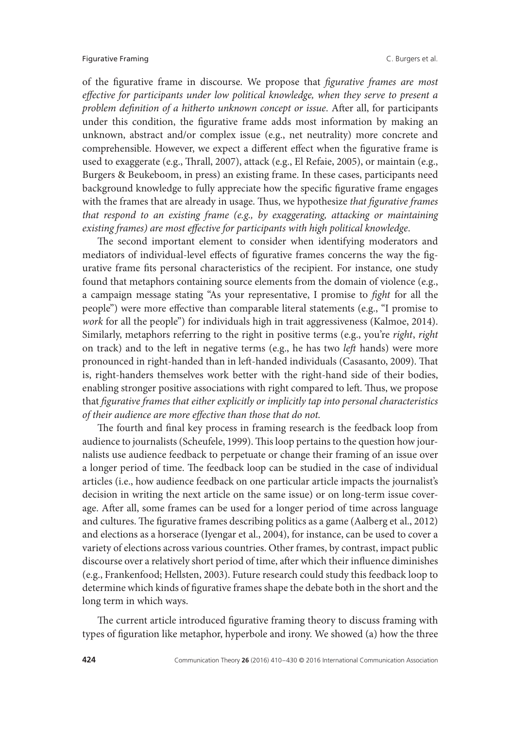of the figurative frame in discourse. We propose that *figurative frames are most effective for participants under low political knowledge, when they serve to present a problem definition of a hitherto unknown concept or issue*. After all, for participants under this condition, the figurative frame adds most information by making an unknown, abstract and/or complex issue (e.g., net neutrality) more concrete and comprehensible. However, we expect a different effect when the figurative frame is used to exaggerate (e.g., Thrall, 2007), attack (e.g., El Refaie, 2005), or maintain (e.g., Burgers & Beukeboom, in press) an existing frame. In these cases, participants need background knowledge to fully appreciate how the specific figurative frame engages with the frames that are already in usage. Thus, we hypothesize *that figurative frames that respond to an existing frame (e.g., by exaggerating, attacking or maintaining existing frames) are most effective for participants with high political knowledge*.

The second important element to consider when identifying moderators and mediators of individual-level effects of figurative frames concerns the way the figurative frame fits personal characteristics of the recipient. For instance, one study found that metaphors containing source elements from the domain of violence (e.g., a campaign message stating "As your representative, I promise to *fight* for all the people") were more effective than comparable literal statements (e.g., "I promise to *work* for all the people") for individuals high in trait aggressiveness (Kalmoe, 2014). Similarly, metaphors referring to the right in positive terms (e.g., you're *right*, *right* on track) and to the left in negative terms (e.g., he has two *left* hands) were more pronounced in right-handed than in left-handed individuals (Casasanto, 2009). That is, right-handers themselves work better with the right-hand side of their bodies, enabling stronger positive associations with right compared to left. Thus, we propose that *figurative frames that either explicitly or implicitly tap into personal characteristics of their audience are more effective than those that do not.*

The fourth and final key process in framing research is the feedback loop from audience to journalists (Scheufele, 1999). This loop pertains to the question how journalists use audience feedback to perpetuate or change their framing of an issue over a longer period of time. The feedback loop can be studied in the case of individual articles (i.e., how audience feedback on one particular article impacts the journalist's decision in writing the next article on the same issue) or on long-term issue coverage. After all, some frames can be used for a longer period of time across language and cultures. The figurative frames describing politics as a game (Aalberg et al., 2012) and elections as a horserace (Iyengar et al., 2004), for instance, can be used to cover a variety of elections across various countries. Other frames, by contrast, impact public discourse over a relatively short period of time, after which their influence diminishes (e.g., Frankenfood; Hellsten, 2003). Future research could study this feedback loop to determine which kinds of figurative frames shape the debate both in the short and the long term in which ways.

The current article introduced figurative framing theory to discuss framing with types of figuration like metaphor, hyperbole and irony. We showed (a) how the three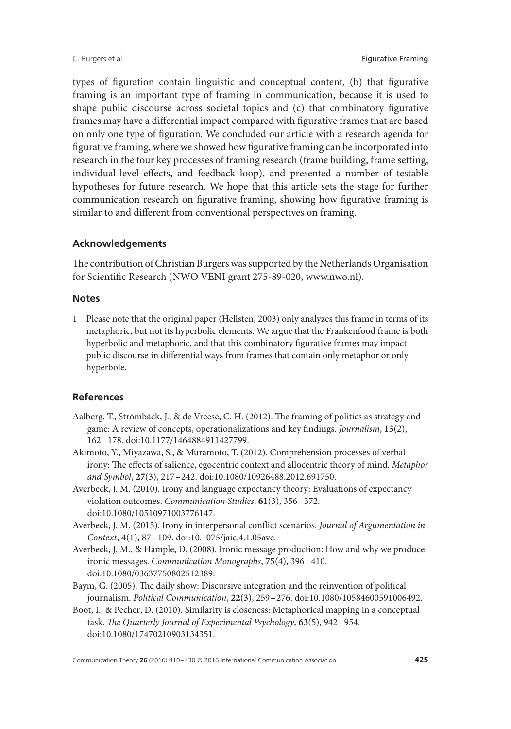types of figuration contain linguistic and conceptual content, (b) that figurative framing is an important type of framing in communication, because it is used to shape public discourse across societal topics and (c) that combinatory figurative frames may have a differential impact compared with figurative frames that are based on only one type of figuration. We concluded our article with a research agenda for figurative framing, where we showed how figurative framing can be incorporated into research in the four key processes of framing research (frame building, frame setting, individual-level effects, and feedback loop), and presented a number of testable hypotheses for future research. We hope that this article sets the stage for further communication research on figurative framing, showing how figurative framing is similar to and different from conventional perspectives on framing.

# **Acknowledgements**

The contribution of Christian Burgers was supported by the Netherlands Organisation for Scientific Research (NWO VENI grant 275-89-020, www.nwo.nl).

# **Notes**

1 Please note that the original paper (Hellsten, 2003) only analyzes this frame in terms of its metaphoric, but not its hyperbolic elements. We argue that the Frankenfood frame is both hyperbolic and metaphoric, and that this combinatory figurative frames may impact public discourse in differential ways from frames that contain only metaphor or only hyperbole.

# **References**

- Aalberg, T., Strömbäck, J., & de Vreese, C. H. (2012). The framing of politics as strategy and game: A review of concepts, operationalizations and key findings. *Journalism*, **13**(2), 162–178. doi:10.1177/1464884911427799.
- Akimoto, Y., Miyazawa, S., & Muramoto, T. (2012). Comprehension processes of verbal irony: The effects of salience, egocentric context and allocentric theory of mind. *Metaphor and Symbol*, **27**(3), 217–242. doi:10.1080/10926488.2012.691750.
- Averbeck, J. M. (2010). Irony and language expectancy theory: Evaluations of expectancy violation outcomes. *Communication Studies*, **61**(3), 356–372. doi:10.1080/10510971003776147.
- Averbeck, J. M. (2015). Irony in interpersonal conflict scenarios. *Journal of Argumentation in Context*, **4**(1), 87–109. doi:10.1075/jaic.4.1.05ave.
- Averbeck, J. M., & Hample, D. (2008). Ironic message production: How and why we produce ironic messages. *Communication Monographs*, **75**(4), 396–410. doi:10.1080/03637750802512389.
- Baym, G. (2005). The daily show: Discursive integration and the reinvention of political journalism. *Political Communication*, **22**(3), 259–276. doi:10.1080/10584600591006492.
- Boot, I., & Pecher, D. (2010). Similarity is closeness: Metaphorical mapping in a conceptual task. *The Quarterly Journal of Experimental Psychology*, **63**(5), 942–954. doi:10.1080/17470210903134351.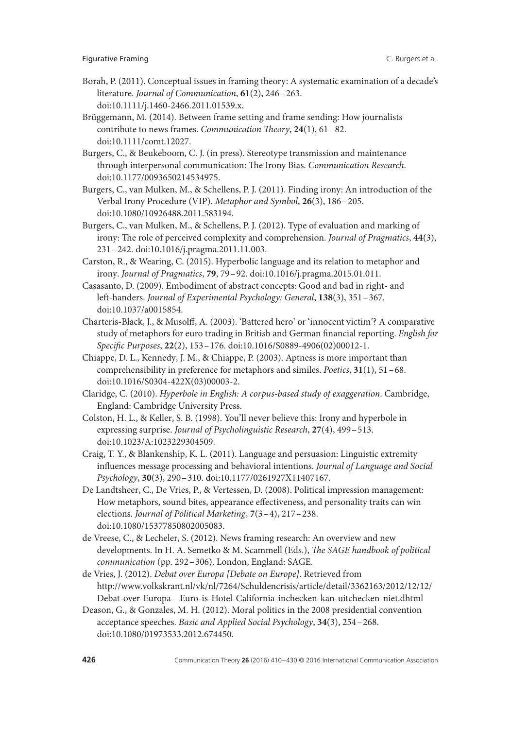- Borah, P. (2011). Conceptual issues in framing theory: A systematic examination of a decade's literature. *Journal of Communication*, **61**(2), 246–263. doi:10.1111/j.1460-2466.2011.01539.x.
- Brüggemann, M. (2014). Between frame setting and frame sending: How journalists contribute to news frames. *Communication Theory*, **24**(1), 61–82. doi:10.1111/comt.12027.

Burgers, C., & Beukeboom, C. J. (in press). Stereotype transmission and maintenance through interpersonal communication: The Irony Bias. *Communication Research*. doi:10.1177/0093650214534975.

- Burgers, C., van Mulken, M., & Schellens, P. J. (2011). Finding irony: An introduction of the Verbal Irony Procedure (VIP). *Metaphor and Symbol*, **26**(3), 186–205. doi:10.1080/10926488.2011.583194.
- Burgers, C., van Mulken, M., & Schellens, P. J. (2012). Type of evaluation and marking of irony: The role of perceived complexity and comprehension. *Journal of Pragmatics*, **44**(3), 231–242. doi:10.1016/j.pragma.2011.11.003.
- Carston, R., & Wearing, C. (2015). Hyperbolic language and its relation to metaphor and irony. *Journal of Pragmatics*, **79**, 79–92. doi:10.1016/j.pragma.2015.01.011.
- Casasanto, D. (2009). Embodiment of abstract concepts: Good and bad in right- and left-handers. *Journal of Experimental Psychology: General*, **138**(3), 351–367. doi:10.1037/a0015854.
- Charteris-Black, J., & Musolff, A. (2003). 'Battered hero' or 'innocent victim'? A comparative study of metaphors for euro trading in British and German financial reporting. *English for Specific Purposes*, **22**(2), 153–176. doi:10.1016/S0889-4906(02)00012-1.
- Chiappe, D. L., Kennedy, J. M., & Chiappe, P. (2003). Aptness is more important than comprehensibility in preference for metaphors and similes. *Poetics*, **31**(1), 51–68. doi:10.1016/S0304-422X(03)00003-2.
- Claridge, C. (2010). *Hyperbole in English: A corpus-based study of exaggeration*. Cambridge, England: Cambridge University Press.
- Colston, H. L., & Keller, S. B. (1998). You'll never believe this: Irony and hyperbole in expressing surprise. *Journal of Psycholinguistic Research*, **27**(4), 499–513. doi:10.1023/A:1023229304509.
- Craig, T. Y., & Blankenship, K. L. (2011). Language and persuasion: Linguistic extremity influences message processing and behavioral intentions. *Journal of Language and Social Psychology*, **30**(3), 290–310. doi:10.1177/0261927X11407167.
- De Landtsheer, C., De Vries, P., & Vertessen, D. (2008). Political impression management: How metaphors, sound bites, appearance effectiveness, and personality traits can win elections. *Journal of Political Marketing*, **7**(3–4), 217–238. doi:10.1080/15377850802005083.
- de Vreese, C., & Lecheler, S. (2012). News framing research: An overview and new developments. In H. A. Semetko & M. Scammell (Eds.), *The SAGE handbook of political communication* (pp. 292–306). London, England: SAGE.
- de Vries, J. (2012). *Debat over Europa [Debate on Europe]*. Retrieved from http://www.volkskrant.nl/vk/nl/7264/Schuldencrisis/article/detail/3362163/2012/12/12/ Debat-over-Europa—Euro-is-Hotel-California-inchecken-kan-uitchecken-niet.dhtml
- Deason, G., & Gonzales, M. H. (2012). Moral politics in the 2008 presidential convention acceptance speeches. *Basic and Applied Social Psychology*, **34**(3), 254–268. doi:10.1080/01973533.2012.674450.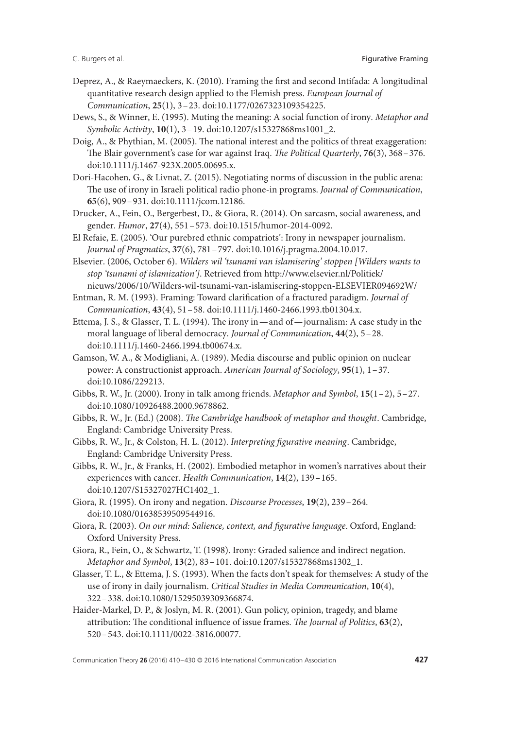- Deprez, A., & Raeymaeckers, K. (2010). Framing the first and second Intifada: A longitudinal quantitative research design applied to the Flemish press. *European Journal of Communication*, **25**(1), 3–23. doi:10.1177/0267323109354225.
- Dews, S., & Winner, E. (1995). Muting the meaning: A social function of irony. *Metaphor and Symbolic Activity*, **10**(1), 3–19. doi:10.1207/s15327868ms1001\_2.
- Doig, A., & Phythian, M. (2005). The national interest and the politics of threat exaggeration: The Blair government's case for war against Iraq. *The Political Quarterly*, **76**(3), 368–376. doi:10.1111/j.1467-923X.2005.00695.x.
- Dori-Hacohen, G., & Livnat, Z. (2015). Negotiating norms of discussion in the public arena: The use of irony in Israeli political radio phone-in programs. *Journal of Communication*, **65**(6), 909–931. doi:10.1111/jcom.12186.
- Drucker, A., Fein, O., Bergerbest, D., & Giora, R. (2014). On sarcasm, social awareness, and gender. *Humor*, **27**(4), 551–573. doi:10.1515/humor-2014-0092.
- El Refaie, E. (2005). 'Our purebred ethnic compatriots': Irony in newspaper journalism. *Journal of Pragmatics*, **37**(6), 781–797. doi:10.1016/j.pragma.2004.10.017.
- Elsevier. (2006, October 6). *Wilders wil 'tsunami van islamisering' stoppen [Wilders wants to stop 'tsunami of islamization']*. Retrieved from http://www.elsevier.nl/Politiek/ nieuws/2006/10/Wilders-wil-tsunami-van-islamisering-stoppen-ELSEVIER094692W/
- Entman, R. M. (1993). Framing: Toward clarification of a fractured paradigm. *Journal of Communication*, **43**(4), 51–58. doi:10.1111/j.1460-2466.1993.tb01304.x.
- Ettema, J. S., & Glasser, T. L. (1994). The irony in—and of—journalism: A case study in the moral language of liberal democracy. *Journal of Communication*, **44**(2), 5–28. doi:10.1111/j.1460-2466.1994.tb00674.x.
- Gamson, W. A., & Modigliani, A. (1989). Media discourse and public opinion on nuclear power: A constructionist approach. *American Journal of Sociology*, **95**(1), 1–37. doi:10.1086/229213.
- Gibbs, R. W., Jr. (2000). Irony in talk among friends. *Metaphor and Symbol*, **15**(1–2), 5–27. doi:10.1080/10926488.2000.9678862.
- Gibbs, R. W., Jr. (Ed.) (2008). *The Cambridge handbook of metaphor and thought*. Cambridge, England: Cambridge University Press.
- Gibbs, R. W., Jr., & Colston, H. L. (2012). *Interpreting figurative meaning*. Cambridge, England: Cambridge University Press.
- Gibbs, R. W., Jr., & Franks, H. (2002). Embodied metaphor in women's narratives about their experiences with cancer. *Health Communication*, **14**(2), 139–165. doi:10.1207/S15327027HC1402\_1.
- Giora, R. (1995). On irony and negation. *Discourse Processes*, **19**(2), 239–264. doi:10.1080/01638539509544916.
- Giora, R. (2003). *On our mind: Salience, context, and figurative language*. Oxford, England: Oxford University Press.
- Giora, R., Fein, O., & Schwartz, T. (1998). Irony: Graded salience and indirect negation. *Metaphor and Symbol*, **13**(2), 83–101. doi:10.1207/s15327868ms1302\_1.
- Glasser, T. L., & Ettema, J. S. (1993). When the facts don't speak for themselves: A study of the use of irony in daily journalism. *Critical Studies in Media Communication*, **10**(4), 322–338. doi:10.1080/15295039309366874.
- Haider-Markel, D. P., & Joslyn, M. R. (2001). Gun policy, opinion, tragedy, and blame attribution: The conditional influence of issue frames. *The Journal of Politics*, **63**(2), 520–543. doi:10.1111/0022-3816.00077.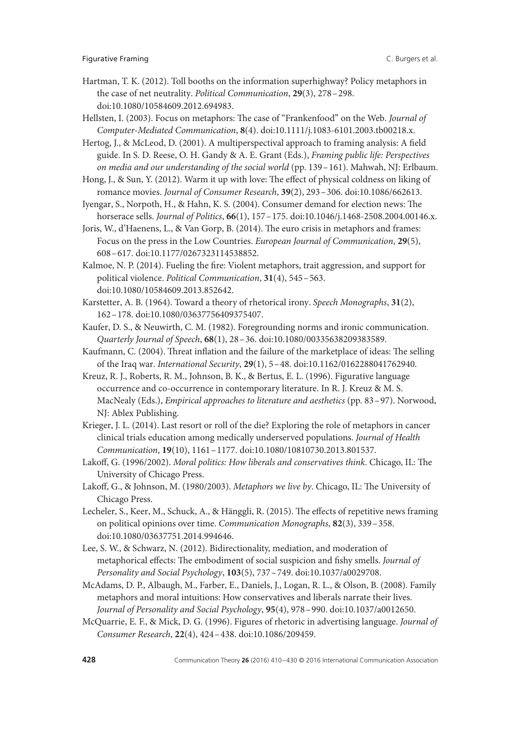- Hartman, T. K. (2012). Toll booths on the information superhighway? Policy metaphors in the case of net neutrality. *Political Communication*, **29**(3), 278–298. doi:10.1080/10584609.2012.694983.
- Hellsten, I. (2003). Focus on metaphors: The case of "Frankenfood" on the Web. *Journal of Computer-Mediated Communication*, **8**(4). doi:10.1111/j.1083-6101.2003.tb00218.x.

Hertog, J., & McLeod, D. (2001). A multiperspectival approach to framing analysis: A field guide. In S. D. Reese, O. H. Gandy & A. E. Grant (Eds.), *Framing public life: Perspectives on media and our understanding of the social world* (pp. 139–161). Mahwah, NJ: Erlbaum.

Hong, J., & Sun, Y. (2012). Warm it up with love: The effect of physical coldness on liking of romance movies. *Journal of Consumer Research*, **39**(2), 293–306. doi:10.1086/662613.

- Iyengar, S., Norpoth, H., & Hahn, K. S. (2004). Consumer demand for election news: The horserace sells. *Journal of Politics*, **66**(1), 157–175. doi:10.1046/j.1468-2508.2004.00146.x.
- Joris, W., d'Haenens, L., & Van Gorp, B. (2014). The euro crisis in metaphors and frames: Focus on the press in the Low Countries. *European Journal of Communication*, **29**(5), 608–617. doi:10.1177/0267323114538852.
- Kalmoe, N. P. (2014). Fueling the fire: Violent metaphors, trait aggression, and support for political violence. *Political Communication*, **31**(4), 545–563. doi:10.1080/10584609.2013.852642.
- Karstetter, A. B. (1964). Toward a theory of rhetorical irony. *Speech Monographs*, **31**(2), 162–178. doi:10.1080/03637756409375407.
- Kaufer, D. S., & Neuwirth, C. M. (1982). Foregrounding norms and ironic communication. *Quarterly Journal of Speech*, **68**(1), 28–36. doi:10.1080/00335638209383589.
- Kaufmann, C. (2004). Threat inflation and the failure of the marketplace of ideas: The selling of the Iraq war. *International Security*, **29**(1), 5–48. doi:10.1162/0162288041762940.
- Kreuz, R. J., Roberts, R. M., Johnson, B. K., & Bertus, E. L. (1996). Figurative language occurrence and co-occurrence in contemporary literature. In R. J. Kreuz & M. S. MacNealy (Eds.), *Empirical approaches to literature and aesthetics* (pp. 83–97). Norwood, NJ: Ablex Publishing.
- Krieger, J. L. (2014). Last resort or roll of the die? Exploring the role of metaphors in cancer clinical trials education among medically underserved populations. *Journal of Health Communication*, **19**(10), 1161–1177. doi:10.1080/10810730.2013.801537.
- Lakoff, G. (1996/2002). *Moral politics: How liberals and conservatives think*. Chicago, IL: The University of Chicago Press.
- Lakoff, G., & Johnson, M. (1980/2003). *Metaphors we live by*. Chicago, IL: The University of Chicago Press.
- Lecheler, S., Keer, M., Schuck, A., & Hänggli, R. (2015). The effects of repetitive news framing on political opinions over time. *Communication Monographs*, **82**(3), 339–358. doi:10.1080/03637751.2014.994646.
- Lee, S. W., & Schwarz, N. (2012). Bidirectionality, mediation, and moderation of metaphorical effects: The embodiment of social suspicion and fishy smells. *Journal of Personality and Social Psychology*, **103**(5), 737–749. doi:10.1037/a0029708.
- McAdams, D. P., Albaugh, M., Farber, E., Daniels, J., Logan, R. L., & Olson, B. (2008). Family metaphors and moral intuitions: How conservatives and liberals narrate their lives. *Journal of Personality and Social Psychology*, **95**(4), 978–990. doi:10.1037/a0012650.
- McQuarrie, E. F., & Mick, D. G. (1996). Figures of rhetoric in advertising language. *Journal of Consumer Research*, **22**(4), 424–438. doi:10.1086/209459.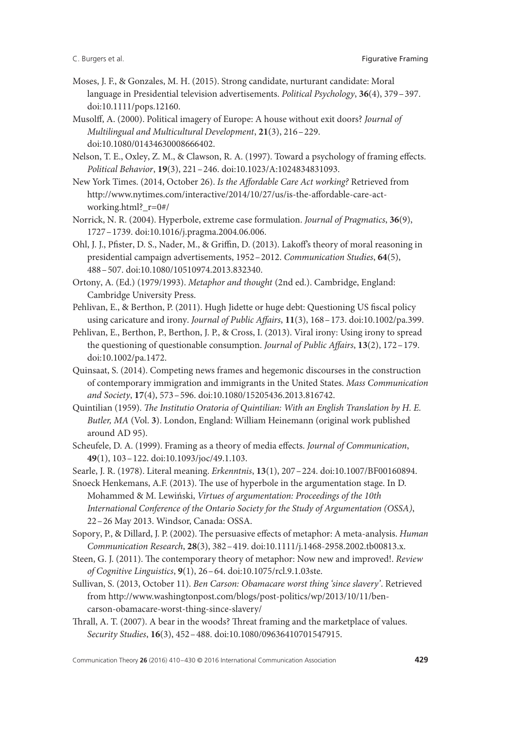- Moses, J. F., & Gonzales, M. H. (2015). Strong candidate, nurturant candidate: Moral language in Presidential television advertisements. *Political Psychology*, **36**(4), 379–397. doi:10.1111/pops.12160.
- Musolff, A. (2000). Political imagery of Europe: A house without exit doors? *Journal of Multilingual and Multicultural Development*, **21**(3), 216–229. doi:10.1080/01434630008666402.
- Nelson, T. E., Oxley, Z. M., & Clawson, R. A. (1997). Toward a psychology of framing effects. *Political Behavior*, **19**(3), 221–246. doi:10.1023/A:1024834831093.
- New York Times. (2014, October 26). *Is the Affordable Care Act working?* Retrieved from http://www.nytimes.com/interactive/2014/10/27/us/is-the-affordable-care-actworking.html?\_r=0#/
- Norrick, N. R. (2004). Hyperbole, extreme case formulation. *Journal of Pragmatics*, **36**(9), 1727–1739. doi:10.1016/j.pragma.2004.06.006.
- Ohl, J. J., Pfister, D. S., Nader, M., & Griffin, D. (2013). Lakoff's theory of moral reasoning in presidential campaign advertisements, 1952–2012. *Communication Studies*, **64**(5), 488–507. doi:10.1080/10510974.2013.832340.
- Ortony, A. (Ed.) (1979/1993). *Metaphor and thought* (2nd ed.). Cambridge, England: Cambridge University Press.
- Pehlivan, E., & Berthon, P. (2011). Hugh Jidette or huge debt: Questioning US fiscal policy using caricature and irony. *Journal of Public Affairs*, **11**(3), 168–173. doi:10.1002/pa.399.
- Pehlivan, E., Berthon, P., Berthon, J. P., & Cross, I. (2013). Viral irony: Using irony to spread the questioning of questionable consumption. *Journal of Public Affairs*, **13**(2), 172–179. doi:10.1002/pa.1472.
- Quinsaat, S. (2014). Competing news frames and hegemonic discourses in the construction of contemporary immigration and immigrants in the United States. *Mass Communication and Society*, **17**(4), 573–596. doi:10.1080/15205436.2013.816742.
- Quintilian (1959). *The Institutio Oratoria of Quintilian: With an English Translation by H. E. Butler, MA* (Vol. **3**). London, England: William Heinemann (original work published around AD 95).
- Scheufele, D. A. (1999). Framing as a theory of media effects. *Journal of Communication*, **49**(1), 103–122. doi:10.1093/joc/49.1.103.

Searle, J. R. (1978). Literal meaning. *Erkenntnis*, **13**(1), 207–224. doi:10.1007/BF00160894.

- Snoeck Henkemans, A.F. (2013). The use of hyperbole in the argumentation stage. In D. Mohammed & M. Lewiński, Virtues of argumentation: Proceedings of the 10th *International Conference of the Ontario Society for the Study of Argumentation (OSSA)*, 22–26 May 2013. Windsor, Canada: OSSA.
- Sopory, P., & Dillard, J. P. (2002). The persuasive effects of metaphor: A meta-analysis. *Human Communication Research*, **28**(3), 382–419. doi:10.1111/j.1468-2958.2002.tb00813.x.
- Steen, G. J. (2011). The contemporary theory of metaphor: Now new and improved!. *Review of Cognitive Linguistics*, **9**(1), 26–64. doi:10.1075/rcl.9.1.03ste.
- Sullivan, S. (2013, October 11). *Ben Carson: Obamacare worst thing 'since slavery'*. Retrieved from http://www.washingtonpost.com/blogs/post-politics/wp/2013/10/11/bencarson-obamacare-worst-thing-since-slavery/
- Thrall, A. T. (2007). A bear in the woods? Threat framing and the marketplace of values. *Security Studies*, **16**(3), 452–488. doi:10.1080/09636410701547915.